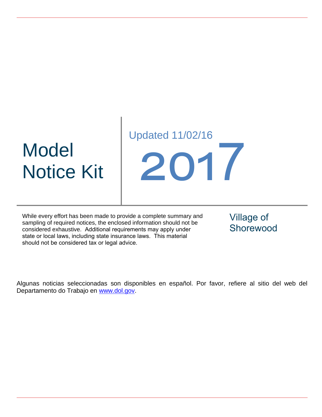# Model Notice Kit

Updated 11/02/16 2017

While every effort has been made to provide a complete summary and sampling of required notices, the enclosed information should not be considered exhaustive. Additional requirements may apply under state or local laws, including state insurance laws. This material should not be considered tax or legal advice.

Village of Shorewood

Algunas noticias seleccionadas son disponibles en español. Por favor, refiere al sitio del web del Departamento do Trabajo en [www.dol.gov.](http://www.dol.gov/)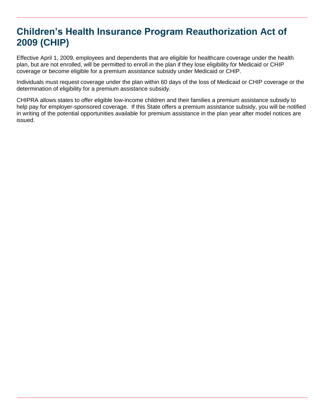## **Children's Health Insurance Program Reauthorization Act of 2009 (CHIP)**

Effective April 1, 2009, employees and dependents that are eligible for healthcare coverage under the health plan, but are not enrolled, will be permitted to enroll in the plan if they lose eligibility for Medicaid or CHIP coverage or become eligible for a premium assistance subsidy under Medicaid or CHIP.

Individuals must request coverage under the plan within 60 days of the loss of Medicaid or CHIP coverage or the determination of eligibility for a premium assistance subsidy.

CHIPRA allows states to offer eligible low-income children and their families a premium assistance subsidy to help pay for employer-sponsored coverage. If this State offers a premium assistance subsidy, you will be notified in writing of the potential opportunities available for premium assistance in the plan year after model notices are issued.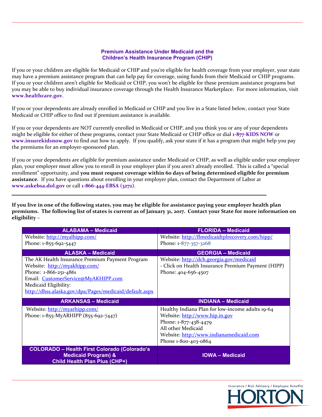#### **Premium Assistance Under Medicaid and the Children's Health Insurance Program (CHIP)**

If you or your children are eligible for Medicaid or CHIP and you're eligible for health coverage from your employer, your state may have a premium assistance program that can help pay for coverage, using funds from their Medicaid or CHIP programs. If you or your children aren't eligible for Medicaid or CHIP, you won't be eligible for these premium assistance programs but you may be able to buy individual insurance coverage through the Health Insurance Marketplace. For more information, visit **www.healthcare.gov**.

If you or your dependents are already enrolled in Medicaid or CHIP and you live in a State listed below, contact your State Medicaid or CHIP office to find out if premium assistance is available.

If you or your dependents are NOT currently enrolled in Medicaid or CHIP, and you think you or any of your dependents might be eligible for either of these programs, contact your State Medicaid or CHIP office or dial **1‐877‐KIDS NOW** or **www.insurekidsnow.gov** to find out how to apply. If you qualify, ask your state if it has a program that might help you pay the premiums for an employer‐sponsored plan.

If you or your dependents are eligible for premium assistance under Medicaid or CHIP, as well as eligible under your employer plan, your employer must allow you to enroll in your employer plan if you aren't already enrolled. This is called a "special enrollment" opportunity, and **you must request coverage within 60 days of being determined eligible for premium assistance**. If you have questions about enrolling in your employer plan, contact the Department of Labor at **www.askebsa.dol.gov** or call **1‐866‐444‐EBSA (3272)**.

If you live in one of the following states, you may be eligible for assistance paying your employer health plan premiums. The following list of states is current as of January 31, 2017. Contact your State for more information on **eligibility –**

| <b>ALABAMA - Medicaid</b>                              | <b>FLORIDA - Medicaid</b>                          |
|--------------------------------------------------------|----------------------------------------------------|
| Website: http://myalhipp.com/                          | Website: http://flmedicaidtplrecovery.com/hipp/    |
| Phone: 1-855-692-5447                                  | Phone: 1-877-357-3268                              |
| <b>ALASKA - Medicaid</b>                               | <b>GEORGIA - Medicaid</b>                          |
| The AK Health Insurance Premium Payment Program        | Website: http://dch.georgia.gov/medicaid           |
| Website: http://myakhipp.com/                          | - Click on Health Insurance Premium Payment (HIPP) |
| Phone: 1-866-251-4861                                  | Phone: 404-656-4507                                |
| Email: CustomerService@MyAKHIPP.com                    |                                                    |
| Medicaid Eligibility:                                  |                                                    |
| http://dhss.alaska.gov/dpa/Pages/medicaid/default.aspx |                                                    |
| <b>ARKANSAS - Medicaid</b>                             | <b>INDIANA - Medicaid</b>                          |
| Website: http://myarhipp.com/                          | Healthy Indiana Plan for low-income adults 19-64   |
| Phone: 1-855-MyARHIPP (855-692-7447)                   | Website: http://www.hip.in.gov                     |
|                                                        | Phone: 1-877-438-4479                              |
|                                                        | All other Medicaid                                 |
|                                                        | Website: http://www.indianamedicaid.com            |
|                                                        | Phone 1-800-403-0864                               |
|                                                        |                                                    |

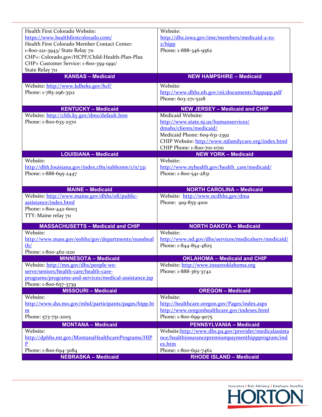| Health First Colorado Website:                        | Website:                                                |
|-------------------------------------------------------|---------------------------------------------------------|
| https://www.healthfirstcolorado.com/                  | http://dhs.iowa.gov/ime/members/medicaid-a-to-          |
| Health First Colorado Member Contact Center:          | Z/hipp                                                  |
| 1-800-221-3943/ State Relay 711                       | Phone: 1-888-346-9562                                   |
| CHP+: Colorado.gov/HCPF/Child-Health-Plan-Plus        |                                                         |
| CHP+ Customer Service: 1-800-359-1991/                |                                                         |
| State Relay 711                                       |                                                         |
| <b>KANSAS - Medicaid</b>                              | <b>NEW HAMPSHIRE - Medicaid</b>                         |
| Website: http://www.kdheks.gov/hcf/                   | Website:                                                |
| Phone: 1-785-296-3512                                 | http://www.dhhs.nh.gov/oii/documents/hippapp.pdf        |
|                                                       | Phone: 603-271-5218                                     |
|                                                       |                                                         |
| <b>KENTUCKY - Medicaid</b>                            | <b>NEW JERSEY - Medicaid and CHIP</b>                   |
| Website: http://chfs.ky.gov/dms/default.htm           | Medicaid Website:                                       |
| Phone: 1-800-635-2570                                 | http://www.state.nj.us/humanservices/                   |
|                                                       | dmahs/clients/medicaid/                                 |
|                                                       | Medicaid Phone: 609-631-2392                            |
|                                                       | CHIP Website: http://www.njfamilycare.org/index.html    |
|                                                       | CHIP Phone: 1-800-701-0710                              |
| <b>LOUISIANA - Medicaid</b>                           | <b>NEW YORK - Medicaid</b>                              |
| Website:                                              | Website:                                                |
| http://dhh.louisiana.gov/index.cfm/subhome/1/n/331    | http://www.nyhealth.gov/health_care/medicaid/           |
| Phone: 1-888-695-2447                                 | Phone: 1-800-541-2831                                   |
|                                                       |                                                         |
| <b>MAINE - Medicaid</b>                               | <b>NORTH CAROLINA - Medicaid</b>                        |
|                                                       |                                                         |
|                                                       |                                                         |
| Website: http://www.maine.gov/dhhs/ofi/public-        | Website: http://www.ncdhhs.gov/dma                      |
| assistance/index.html                                 | Phone: 919-855-4100                                     |
| Phone: 1-800-442-6003                                 |                                                         |
| TTY: Maine relay 711                                  |                                                         |
| <b>MASSACHUSETTS - Medicaid and CHIP</b>              | <b>NORTH DAKOTA - Medicaid</b>                          |
| Website:                                              | Website:                                                |
| http://www.mass.gov/eohhs/gov/departments/massheal    | http://www.nd.gov/dhs/services/medicalserv/medicaid/    |
| th/                                                   | Phone: 1-844-854-4825                                   |
| Phone: 1-800-462-1120                                 |                                                         |
| <b>MINNESOTA - Medicaid</b>                           | <b>OKLAHOMA - Medicaid and CHIP</b>                     |
| Website: http://mn.gov/dhs/people-we-                 | Website: http://www.insureoklahoma.org                  |
| serve/seniors/health-care/health-care-                | Phone: 1-888-365-3742                                   |
| programs/programs-and-services/medical-assistance.jsp |                                                         |
| Phone: 1-800-657-3739                                 |                                                         |
| <b>MISSOURI - Medicaid</b>                            | <b>OREGON - Medicaid</b>                                |
| Website:                                              | Website:                                                |
| http://www.dss.mo.gov/mhd/participants/pages/hipp.ht  | http://healthcare.oregon.gov/Pages/index.aspx           |
| m                                                     | http://www.oregonhealthcare.gov/indexes.html            |
| Phone: 573-751-2005                                   | Phone: 1-800-699-9075                                   |
| <b>MONTANA - Medicaid</b>                             | <b>PENNSYLVANIA - Medicaid</b>                          |
| Website:                                              | Website:http://www.dhs.pa.gov/provider/medicalassista   |
| http://dphhs.mt.gov/MontanaHealthcarePrograms/HIP     | nce/healthinsurancepremiumpaymenthippprogram/ind        |
| P                                                     | ex.htm                                                  |
| Phone: 1-800-694-3084<br><b>NEBRASKA - Medicaid</b>   | Phone: 1-800-692-7462<br><b>RHODE ISLAND - Medicaid</b> |

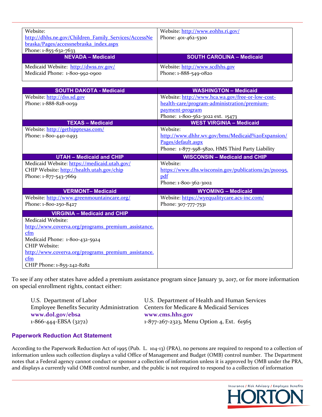| Website:                                             | Website: http://www.eohhs.ri.gov/ |
|------------------------------------------------------|-----------------------------------|
| http://dhhs.ne.gov/Children_Family_Services/AccessNe | Phone: 401-462-5300               |
| braska/Pages/accessnebraska index.aspx               |                                   |
| Phone: 1-855-632-7633                                |                                   |
|                                                      |                                   |
| <b>NEVADA - Medicaid</b>                             | <b>SOUTH CAROLINA - Medicaid</b>  |
| Medicaid Website: http://dwss.nv.gov/                | Website: http://www.scdhhs.gov    |

| <b>SOUTH DAKOTA - Medicaid</b>                      | <b>WASHINGTON - Medicaid</b>                          |
|-----------------------------------------------------|-------------------------------------------------------|
| Website: http://dss.sd.gov                          | Website: http://www.hca.wa.gov/free-or-low-cost-      |
| Phone: 1-888-828-0059                               | health-care/program-administration/premium-           |
|                                                     | payment-program                                       |
|                                                     | Phone: 1-800-562-3022 ext. 15473                      |
| <b>TEXAS - Medicaid</b>                             | <b>WEST VIRGINIA - Medicaid</b>                       |
| Website: http://gethipptexas.com/                   | Website:                                              |
| Phone: 1-800-440-0493                               | http://www.dhhr.wv.gov/bms/Medicaid%20Expansion/      |
|                                                     | Pages/default.aspx                                    |
|                                                     | Phone: 1-877-598-5820, HMS Third Party Liability      |
| <b>UTAH - Medicaid and CHIP</b>                     | <b>WISCONSIN - Medicaid and CHIP</b>                  |
| Medicaid Website: https://medicaid.utah.gov/        | Website:                                              |
| CHIP Website: http://health.utah.gov/chip           | https://www.dhs.wisconsin.gov/publications/p1/p10095. |
| Phone: 1-877-543-7669                               | pdf                                                   |
|                                                     | Phone: 1-800-362-3002                                 |
| <b>VERMONT-Medicaid</b>                             | <b>WYOMING - Medicaid</b>                             |
| Website: http://www.greenmountaincare.org/          | Website: https://wyequalitycare.acs-inc.com/          |
| Phone: 1-800-250-8427                               | Phone: 307-777-7531                                   |
| <b>VIRGINIA - Medicaid and CHIP</b>                 |                                                       |
| Medicaid Website:                                   |                                                       |
| http://www.coverva.org/programs premium assistance. |                                                       |
| cfm                                                 |                                                       |
| Medicaid Phone: 1-800-432-5924                      |                                                       |
| CHIP Website:                                       |                                                       |
| http://www.coverva.org/programs premium assistance. |                                                       |
| cfm                                                 |                                                       |
| CHIP Phone: 1-855-242-8282                          |                                                       |

To see if any other states have added a premium assistance program since January 31, 2017, or for more information on special enrollment rights, contact either:

| U.S. Department of Labor                                                           | U.S. Department of Health and Human Services |
|------------------------------------------------------------------------------------|----------------------------------------------|
| Employee Benefits Security Administration Centers for Medicare & Medicaid Services |                                              |
| www.dol.gov/ebsa                                                                   | www.cms.hhs.gov                              |
| $1-866-444-EBSA(3272)$                                                             | 1-877-267-2323, Menu Option 4, Ext. 61565    |

#### **Paperwork Reduction Act Statement**

According to the Paperwork Reduction Act of 1995 (Pub. L. 104‐13) (PRA), no persons are required to respond to a collection of information unless such collection displays a valid Office of Management and Budget (OMB) control number. The Department notes that a Federal agency cannot conduct or sponsor a collection of information unless it is approved by OMB under the PRA, and displays a currently valid OMB control number, and the public is not required to respond to a collection of information

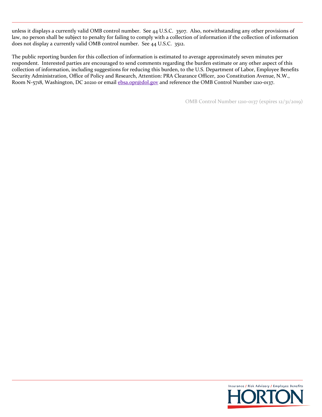unless it displays a currently valid OMB control number. See 44 U.S.C. 3507. Also, notwithstanding any other provisions of law, no person shall be subject to penalty for failing to comply with a collection of information if the collection of information does not display a currently valid OMB control number. See 44 U.S.C. 3512.

The public reporting burden for this collection of information is estimated to average approximately seven minutes per respondent. Interested parties are encouraged to send comments regarding the burden estimate or any other aspect of this collection of information, including suggestions for reducing this burden, to the U.S. Department of Labor, Employee Benefits Security Administration, Office of Policy and Research, Attention: PRA Clearance Officer, 200 Constitution Avenue, N.W., Room N-5718, Washington, DC 20210 or email ebsa.opr@dol.gov and reference the OMB Control Number 1210-0137.

OMB Control Number 1210‐0137 (expires 12/31/2019)

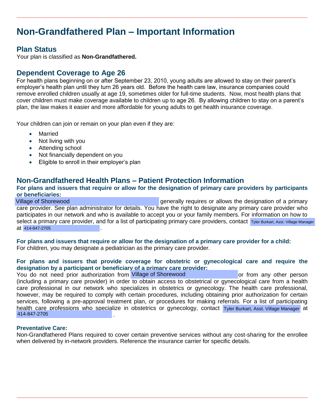## **Non-Grandfathered Plan – Important Information**

### **Plan Status**

Your plan is classified as **Non-Grandfathered.** 

### **Dependent Coverage to Age 26**

For health plans beginning on or after September 23, 2010, young adults are allowed to stay on their parent's employer's health plan until they turn 26 years old. Before the health care law, insurance companies could remove enrolled children usually at age 19, sometimes older for full-time students. Now, most health plans that cover children must make coverage available to children up to age 26. By allowing children to stay on a parent's plan, the law makes it easier and more affordable for young adults to get health insurance coverage.

Your children can join or remain on your plan even if they are:

- Married
- Not living with you
- Attending school
- Not financially dependent on you
- Eligible to enroll in their employer's plan

#### **Non-Grandfathered Health Plans – Patient Protection Information**

#### **For plans and issuers that require or allow for the designation of primary care providers by participants or beneficiaries:**

\_\_\_\_\_\_\_\_\_\_\_\_\_\_\_\_\_\_\_\_\_\_\_\_\_\_\_\_\_\_\_\_\_\_\_\_\_\_\_\_\_\_\_\_ generally requires or allows the designation of a primary care provider. See plan administrator for details. You have the right to designate any primary care provider who participates in our network and who is available to accept you or your family members. For information on how to select a primary care provider, and for a list of participating primary care providers, contact Tyler Burkart, Asst. Village Manager at 414-847-2705 Village of Shorewood

**For plans and issuers that require or allow for the designation of a primary care provider for a child:**  For children, you may designate a pediatrician as the primary care provider.

## **For plans and issuers that provide coverage for obstetric or gynecological care and require the designation by a participant or beneficiary of a primary care provider:**  at 414-847-2705<br>
For plans and issuers that require or allow for the designation of a primary care provider for a child:<br>
For children, you may designate a pediatrician as the primary care provider.<br>
For plans and issuers

(including a primary care provider) in order to obtain access to obstetrical or gynecological care from a health care professional in our network who specializes in obstetrics or gynecology. The health care professional, however, may be required to comply with certain procedures, including obtaining prior authorization for certain services, following a pre-approval treatment plan, or procedures for making referrals. For a list of participating health care professions who specialize in obstetrics or gynecology, contact Tyler Burkart. Asst. Village Manager at 414-847-2705 Select a primary care provider, and for a list of participating primary care providers, contact Tyler Burkart, Asst. Village Manager<br>
At 414-847-2705<br>
For plans and issuers that require or allow for the designation of a pr

#### **Preventative Care:**

Non-Grandfathered Plans required to cover certain preventive services without any cost-sharing for the enrollee when delivered by in-network providers. Reference the insurance carrier for specific details.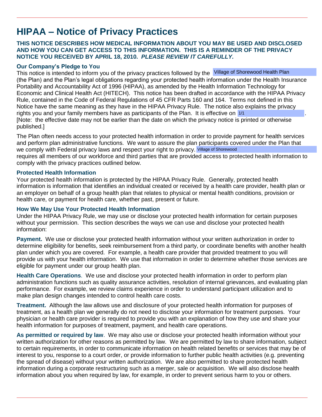## **HIPAA – Notice of Privacy Practices**

#### **THIS NOTICE DESCRIBES HOW MEDICAL INFORMATION ABOUT YOU MAY BE USED AND DISCLOSED AND HOW YOU CAN GET ACCESS TO THIS INFORMATION. THIS IS A REMINDER OF THE PRIVACY NOTICE YOU RECEIVED BY APRIL 18, 2010.** *PLEASE REVIEW IT CAREFULLY.*

#### **Our Company's Pledge to You**

This notice is intended to inform you of the privacy practices followed by the Village of Shorewood Health Plan (the Plan) and the Plan's legal obligations regarding your protected health information under the Health Insurance Portability and Accountability Act of 1996 (HIPAA), as amended by the Health Information Technology for Economic and Clinical Health Act (HITECH). This notice has been drafted in accordance with the HIPAA Privacy Rule, contained in the Code of Federal Regulations of 45 CFR Parts 160 and 164. Terms not defined in this Notice have the same meaning as they have in the HIPAA Privacy Rule. The notice also explains the privacy rights you and your family members have as participants of the Plan. It is effective on 1/1 and the state of the [Note: the effective date may not be earlier than the date on which the privacy notice is printed or otherwise published.]

The Plan often needs access to your protected health information in order to provide payment for health services and perform plan administrative functions. We want to assure the plan participants covered under the Plan that we comply with Federal privacy laws and respect your right to privacy. Village of Shorewood

requires all members of our workforce and third parties that are provided access to protected health information to comply with the privacy practices outlined below.

#### **Protected Health Information**

Your protected health information is protected by the HIPAA Privacy Rule. Generally, protected health information is information that identifies an individual created or received by a health care provider, health plan or an employer on behalf of a group health plan that relates to physical or mental health conditions, provision or health care, or payment for health care, whether past, present or future.

#### **How We May Use Your Protected Health Information**

Under the HIPAA Privacy Rule, we may use or disclose your protected health information for certain purposes without your permission. This section describes the ways we can use and disclose your protected health information:

**Payment.**We use or disclose your protected health information without your written authorization in order to determine eligibility for benefits, seek reimbursement from a third party, or coordinate benefits with another health plan under which you are covered. For example, a health care provider that provided treatment to you will provide us with your health information. We use that information in order to determine whether those services are eligible for payment under our group health plan.

**Health Care Operations**. We use and disclose your protected health information in order to perform plan administration functions such as quality assurance activities, resolution of internal grievances, and evaluating plan performance. For example, we review claims experience in order to understand participant utilization and to make plan design changes intended to control health care costs.

**Treatment.** Although the law allows use and disclosure of your protected health information for purposes of treatment, as a health plan we generally do not need to disclose your information for treatment purposes. Your physician or health care provider is required to provide you with an explanation of how they use and share your health information for purposes of treatment, payment, and health care operations.

**As permitted or required by law**. We may also use or disclose your protected health information without your written authorization for other reasons as permitted by law. We are permitted by law to share information, subject to certain requirements, in order to communicate information on health related benefits or services that may be of interest to you, response to a court order, or provide information to further public health activities (e.g. preventing the spread of disease) without your written authorization. We are also permitted to share protected health information during a corporate restructuring such as a merger, sale or acquisition. We will also disclose health information about you when required by law, for example, in order to prevent serious harm to you or others.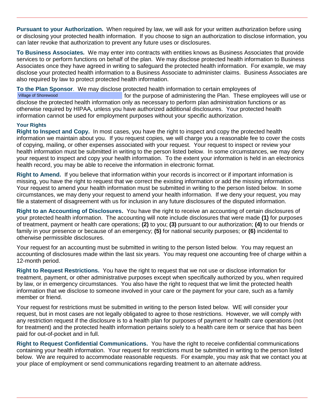**Pursuant to your Authorization.** When required by law, we will ask for your written authorization before using or disclosing your protected health information. If you choose to sign an authorization to disclose information, you can later revoke that authorization to prevent any future uses or disclosures.

**To Business Associates***.* We may enter into contracts with entities knows as Business Associates that provide services to or perform functions on behalf of the plan. We may disclose protected health information to Business Associates once they have agreed in writing to safeguard the protected health information. For example, we may disclose your protected health information to a Business Associate to administer claims. Business Associates are also required by law to protect protected health information.

**To the Plan Sponsor**. We may disclose protected health information to certain employees of for the purpose of administering the Plan. These employees will use or disclose the protected health information only as necessary to perform plan administration functions or as otherwise required by HIPAA, unless you have authorized additional disclosures. Your protected health information cannot be used for employment purposes without your specific authorization. Village of Shorewood

#### **Your Rights**

**Right to Inspect and Copy.** In most cases, you have the right to inspect and copy the protected health information we maintain about you. If you request copies, we will charge you a reasonable fee to cover the costs of copying, mailing, or other expenses associated with your request. Your request to inspect or review your health information must be submitted in writing to the person listed below. In some circumstances, we may deny your request to inspect and copy your health information. To the extent your information is held in an electronics health record, you may be able to receive the information in electronic format.

**Right to Amend.** If you believe that information within your records is incorrect or if important information is missing, you have the right to request that we correct the existing information or add the missing information. Your request to amend your health information must be submitted in writing to the person listed below. In some circumstances, we may deny your request to amend your health information. If we deny your request, you may file a statement of disagreement with us for inclusion in any future disclosures of the disputed information.

**Right to an Accounting of Disclosures.** You have the right to receive an accounting of certain disclosures of your protected health information. The accounting will note include disclosures that were made **(1)** for purposes of treatment, payment or health care operations; **(2)** to you; **(3)** pursuant to our authorization; **(4)** to our friends or family in your presence or because of an emergency; **(5)** for national security purposes; or **(6)** incidental to otherwise permissible disclosures.

Your request for an accounting must be submitted in writing to the person listed below. You may request an accounting of disclosures made within the last six years. You may request one accounting free of charge within a 12-month period.

**Right to Request Restrictions.** You have the right to request that we not use or disclose information for treatment, payment, or other administrative purposes except when specifically authorized by you, when required by law, or in emergency circumstances. You also have the right to request that we limit the protected health information that we disclose to someone involved in your care or the payment for your care, such as a family member or friend.

Your request for restrictions must be submitted in writing to the person listed below. WE will consider your request, but in most cases are not legally obligated to agree to those restrictions. However, we will comply with any restriction request if the disclosure is to a health plan for purposes of payment or health care operations (not for treatment) and the protected health information pertains solely to a health care item or service that has been paid for out-of-pocket and in full.

**Right to Request Confidential Communications.** You have the right to receive confidential communications containing your health information. Your request for restrictions must be submitted in writing to the person listed below. We are required to accommodate reasonable requests. For example, you may ask that we contact you at your place of employment or send communications regarding treatment to an alternate address.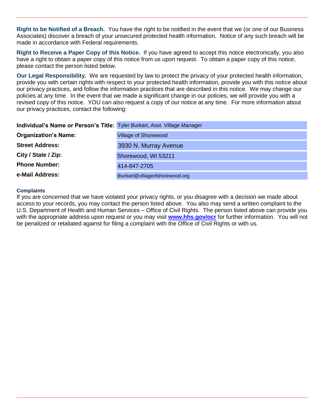**Right to be Notified of a Breach.** You have the right to be notified in the event that we (or one of our Business Associates) discover a breach of your unsecured protected health information. Notice of any such breach will be made in accordance with Federal requirements.

**Right to Receive a Paper Copy of this Notice.** If you have agreed to accept this notice electronically, you also have a right to obtain a paper copy of this notice from us upon request. To obtain a paper copy of this notice, please contact the person listed below.

**Our Legal Responsibility.** We are requested by law to protect the privacy of your protected health information, provide you with certain rights with respect to your protected health information, provide you with this notice about our privacy practices, and follow the information practices that are described in this notice. We may change our policies at any time. In the event that we made a significant change in our policies, we will provide you with a revised copy of this notice. YOU can also request a copy of our notice at any time. For more information about our privacy practices, contact the following:

| Individual's Name or Person's Title: Tyler Burkart, Asst. Village Manager |                                 |
|---------------------------------------------------------------------------|---------------------------------|
| <b>Organization's Name:</b>                                               | <b>Village of Shorewood</b>     |
| <b>Street Address:</b>                                                    | 3930 N. Murray Avenue           |
| City / State / Zip:                                                       | Shorewood, WI 53211             |
| <b>Phone Number:</b>                                                      | 414-847-2705                    |
| e-Mail Address:                                                           | tburkart@villageofshorewood.org |

#### **Complaints**

If you are concerned that we have violated your privacy rights, or you disagree with a decision we made about access to your records, you may contact the person listed above. You also may send a written complaint to the U.S. Department of Health and Human Services – Office of Civil Rights. The person listed above can provide you with the appropriate address upon request or you may visit **[www.hhs.gov/ocr](http://www.hhs.gov/ocr)** for further information. You will not be penalized or retaliated against for filing a complaint with the Office of Civil Rights or with us.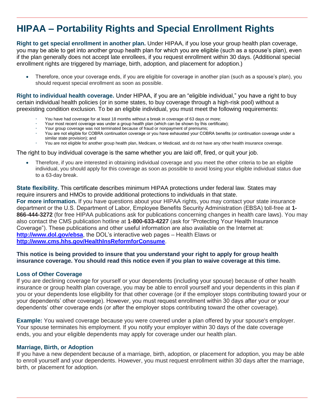## **HIPAA – Portability Rights and Special Enrollment Rights**

**Right to get special enrollment in another plan.** Under HIPAA, if you lose your group health plan coverage, you may be able to get into another group health plan for which you are eligible (such as a spouse's plan), even if the plan generally does not accept late enrollees, if you request enrollment within 30 days. (Additional special enrollment rights are triggered by marriage, birth, adoption, and placement for adoption.)

 Therefore, once your coverage ends, if you are eligible for coverage in another plan (such as a spouse's plan), you should request special enrollment as soon as possible.

**Right to individual health coverage.** Under HIPAA, if you are an "eligible individual," you have a right to buy certain individual health policies (or in some states, to buy coverage through a high-risk pool) without a preexisting condition exclusion. To be an eligible individual, you must meet the following requirements:

- You have had coverage for at least 18 months without a break in coverage of 63 days or more;
- Your most recent coverage was under a group health plan (which can be shown by this certificate);
- Your group coverage was not terminated because of fraud or nonpayment of premiums;
- You are not eligible for COBRA continuation coverage or you have exhausted your COBRA benefits (or continuation coverage under a similar state provision); and
- You are not eligible for another group health plan, Medicare, or Medicaid, and do not have any other health insurance coverage.

#### The right to buy individual coverage is the same whether you are laid off, fired, or quit your job.

 Therefore, if you are interested in obtaining individual coverage and you meet the other criteria to be an eligible individual, you should apply for this coverage as soon as possible to avoid losing your eligible individual status due to a 63-day break.

**State flexibility.** This certificate describes minimum HIPAA protections under federal law. States may require insurers and HMOs to provide additional protections to individuals in that state. **For more information.** If you have questions about your HIPAA rights, you may contact your state insurance department or the U.S. Department of Labor, Employee Benefits Security Administration (EBSA) toll-free at **1- 866-444-3272** (for free HIPAA publications ask for publications concerning changes in health care laws). You may also contact the CMS publication hotline at **1-800-633-4227** (ask for "Protecting Your Health Insurance Coverage"). These publications and other useful information are also available on the Internet at: **<http://www.dol.gov/ebsa>**, the DOL's interactive web pages – Health Elaws or **<http://www.cms.hhs.gov/HealthInsReformforConsume>**.

#### **This notice is being provided to insure that you understand your right to apply for group health insurance coverage. You should read this notice even if you plan to waive coverage at this time.**

#### **Loss of Other Coverage**

If you are declining coverage for yourself or your dependents (including your spouse) because of other health insurance or group health plan coverage, you may be able to enroll yourself and your dependents in this plan if you or your dependents lose eligibility for that other coverage (or if the employer stops contributing toward your or your dependents' other coverage). However, you must request enrollment within 30 days after your or your dependents' other coverage ends (or after the employer stops contributing toward the other coverage).

**Example:** You waived coverage because you were covered under a plan offered by your spouse's employer. Your spouse terminates his employment. If you notify your employer within 30 days of the date coverage ends, you and your eligible dependents may apply for coverage under our health plan.

#### **Marriage, Birth, or Adoption**

If you have a new dependent because of a marriage, birth, adoption, or placement for adoption, you may be able to enroll yourself and your dependents. However, you must request enrollment within 30 days after the marriage, birth, or placement for adoption.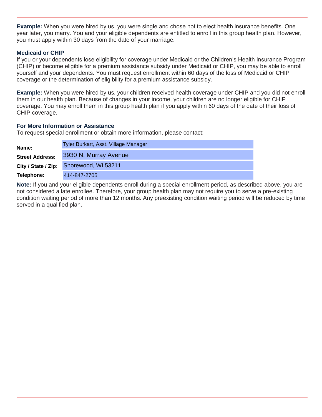**Example:** When you were hired by us, you were single and chose not to elect health insurance benefits. One year later, you marry. You and your eligible dependents are entitled to enroll in this group health plan. However, you must apply within 30 days from the date of your marriage.

#### **Medicaid or CHIP**

If you or your dependents lose eligibility for coverage under Medicaid or the Children's Health Insurance Program (CHIP) or become eligible for a premium assistance subsidy under Medicaid or CHIP, you may be able to enroll yourself and your dependents. You must request enrollment within 60 days of the loss of Medicaid or CHIP coverage or the determination of eligibility for a premium assistance subsidy.

**Example:** When you were hired by us, your children received health coverage under CHIP and you did not enroll them in our health plan. Because of changes in your income, your children are no longer eligible for CHIP coverage. You may enroll them in this group health plan if you apply within 60 days of the date of their loss of CHIP coverage.

#### **For More Information or Assistance**

To request special enrollment or obtain more information, please contact:

| Name:                  | Tyler Burkart, Asst. Village Manager    |
|------------------------|-----------------------------------------|
| <b>Street Address:</b> | 3930 N. Murray Avenue                   |
|                        | City / State / Zip: Shorewood, WI 53211 |
| Telephone:             | 414-847-2705                            |

**Note:** If you and your eligible dependents enroll during a special enrollment period, as described above, you are not considered a late enrollee. Therefore, your group health plan may not require you to serve a pre-existing condition waiting period of more than 12 months. Any preexisting condition waiting period will be reduced by time served in a qualified plan.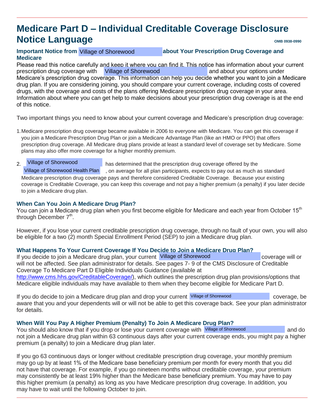## **Medicare Part D – Individual Creditable Coverage Disclosure Notice Language OMB 0938-0990**

#### Important Notice from Village of Shorewood **Concretive about Your Prescription Drug Coverage and Medicare**

Please read this notice carefully and keep it where you can find it. This notice has information about your current prescription drug coverage with Millage of Shorewood **Communisty and about your options under** Medicare's prescription drug coverage. This information can help you decide whether you want to join a Medicare drug plan. If you are considering joining, you should compare your current coverage, including costs of covered drugs, with the coverage and costs of the plans offering Medicare prescription drug coverage in your area. Information about where you can get help to make decisions about your prescription drug coverage is at the end of this notice.

Two important things you need to know about your current coverage and Medicare's prescription drug coverage:

1. Medicare prescription drug coverage became available in 2006 to everyone with Medicare. You can get this coverage if you join a Medicare Prescription Drug Plan or join a Medicare Advantage Plan (like an HMO or PPO) that offers prescription drug coverage. All Medicare drug plans provide at least a standard level of coverage set by Medicare. Some plans may also offer more coverage for a higher monthly premium.

#### Village of Shorewood

2.has determined that the prescription drug coverage offered by the

**\_\_\_\_\_\_\_\_\_\_\_\_\_\_\_\_\_\_\_\_\_\_\_\_**, on average for all plan participants, expects to pay out as much as standard Medicare prescription drug coverage pays and therefore considered Creditable Coverage. Because your existing coverage is Creditable Coverage, you can keep this coverage and not pay a higher premium (a penalty) if you later decide to join a Medicare drug plan. Village of Shorewood Health Plan

#### **When Can You Join A Medicare Drug Plan?**

You can join a Medicare drug plan when you first become eligible for Medicare and each year from October 15<sup>th</sup> through December  $7<sup>th</sup>$ .

However, if you lose your current creditable prescription drug coverage, through no fault of your own, you will also be eligible for a two (2) month Special Enrollment Period (SEP) to join a Medicare drug plan.

#### **What Happens To Your Current Coverage If You Decide to Join a Medicare Drug Plan?**

If you decide to join a Medicare drug plan, your current Village of Shorewood coverage will or will not be affected. See plan administrator for details. See pages 7- 9 of the CMS Disclosure of Creditable Coverage To Medicare Part D Eligible Individuals Guidance (available at [http://www.cms.hhs.gov/CreditableCoverage/\)](http://www.cms.hhs.gov/CreditableCoverage/), which outlines the prescription drug plan provisions/options that Medicare eligible individuals may have available to them when they become eligible for Medicare Part D.

If you do decide to join a Medicare drug plan and drop your current Village of Shorewood coverage, be coverage, be aware that you and your dependents will or will not be able to get this coverage back. See your plan administrator for details.

#### **When Will You Pay A Higher Premium (Penalty) To Join A Medicare Drug Plan?**

You should also know that if you drop or lose your current coverage with Village of Shorewood and do and do not join a Medicare drug plan within 63 continuous days after your current coverage ends, you might pay a higher premium (a penalty) to join a Medicare drug plan later.

If you go 63 continuous days or longer without creditable prescription drug coverage, your monthly premium may go up by at least 1% of the Medicare base beneficiary premium per month for every month that you did not have that coverage. For example, if you go nineteen months without creditable coverage, your premium may consistently be at least 19% higher than the Medicare base beneficiary premium. You may have to pay this higher premium (a penalty) as long as you have Medicare prescription drug coverage. In addition, you may have to wait until the following October to join.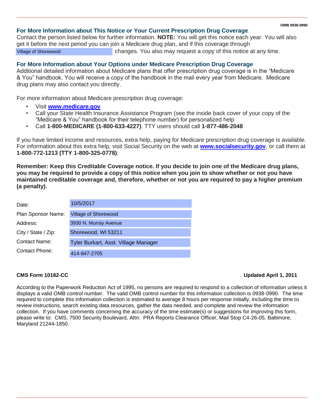#### **OMB 0938-0990**

#### **For More Information about This Notice or Your Current Prescription Drug Coverage**

Contact the person listed below for further information. **NOTE:** You will get this notice each year. You will also get it before the next period you can join a Medicare drug plan, and if this coverage through **\_\_\_\_\_\_\_\_\_\_\_\_\_\_\_\_\_\_\_\_\_\_\_\_\_\_\_\_**changes. You also may request a copy of this notice at any time. Village of Shorewood

#### **For More Information about Your Options under Medicare Prescription Drug Coverage**

Additional detailed information about Medicare plans that offer prescription drug coverage is in the "Medicare & You" handbook. You will receive a copy of the handbook in the mail every year from Medicare. Medicare drug plans may also contact you directly.

For more information about Medicare prescription drug coverage:

- Visit **[www.medicare.gov](http://www.medicare.gov/)**
- Call your State Health Insurance Assistance Program (see the inside back cover of your copy of the "Medicare & You" handbook for their telephone number) for personalized help
- Call **1-800-MEDICARE (1-800-633-4227)**. TTY users should call **1-877-486-2048**

If you have limited income and resources, extra help, paying for Medicare prescription drug coverage is available. For information about this extra help, visit Social Security on the web at **[www.socialsecurity.gov](http://www.socialsecurity.gov/)**, or call them at **1-800-772-1213 (TTY 1-800-325-0778)**.

**Remember: Keep this Creditable Coverage notice. If you decide to join one of the Medicare drug plans, you may be required to provide a copy of this notice when you join to show whether or not you have maintained creditable coverage and, therefore, whether or not you are required to pay a higher premium (a penalty).**

| Date:               | 10/5/2017                            |
|---------------------|--------------------------------------|
| Plan Sponsor Name:  | Village of Shorewood                 |
| Address:            | 3930 N. Murray Avenue                |
| City / State / Zip: | Shorewood, WI 53211                  |
| Contact Name:       | Tyler Burkart, Asst. Village Manager |
| Contact Phone:      | 414-847-2705                         |

#### **CMS Form 10182-CC Updated April 1, 2011**

According to the Paperwork Reduction Act of 1995, no persons are required to respond to a collection of information unless it displays a valid OMB control number. The valid OMB control number for this information collection is 0938-0990. The time required to complete this information collection is estimated to average 8 hours per response initially, including the time to review instructions, search existing data resources, gather the data needed, and complete and review the information collection. If you have comments concerning the accuracy of the time estimate(s) or suggestions for improving this form, please write to: CMS, 7500 Security Boulevard, Attn: PRA Reports Clearance Officer, Mail Stop C4-26-05, Baltimore, Maryland 21244-1850.